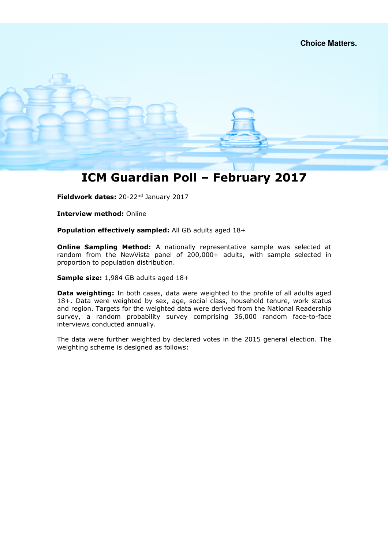### ICM Guardian Poll – February 2017

Fieldwork dates: 20-22<sup>nd</sup> January 2017

Interview method: Online

Population effectively sampled: All GB adults aged 18+

**Online Sampling Method:** A nationally representative sample was selected at random from the NewVista panel of 200,000+ adults, with sample selected in proportion to population distribution.

Sample size: 1,984 GB adults aged 18+

Data weighting: In both cases, data were weighted to the profile of all adults aged 18+. Data were weighted by sex, age, social class, household tenure, work status and region. Targets for the weighted data were derived from the National Readership survey, a random probability survey comprising 36,000 random face-to-face interviews conducted annually.

The data were further weighted by declared votes in the 2015 general election. The weighting scheme is designed as follows: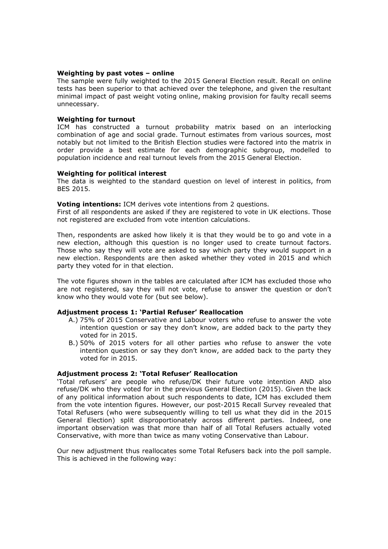### Weighting by past votes – online

The sample were fully weighted to the 2015 General Election result. Recall on online tests has been superior to that achieved over the telephone, and given the resultant minimal impact of past weight voting online, making provision for faulty recall seems unnecessary.

### Weighting for turnout

ICM has constructed a turnout probability matrix based on an interlocking combination of age and social grade. Turnout estimates from various sources, most notably but not limited to the British Election studies were factored into the matrix in order provide a best estimate for each demographic subgroup, modelled to population incidence and real turnout levels from the 2015 General Election.

#### Weighting for political interest

The data is weighted to the standard question on level of interest in politics, from BES 2015.

### Voting intentions: ICM derives vote intentions from 2 questions.

First of all respondents are asked if they are registered to vote in UK elections. Those not registered are excluded from vote intention calculations.

Then, respondents are asked how likely it is that they would be to go and vote in a new election, although this question is no longer used to create turnout factors. Those who say they will vote are asked to say which party they would support in a new election. Respondents are then asked whether they voted in 2015 and which party they voted for in that election.

The vote figures shown in the tables are calculated after ICM has excluded those who are not registered, say they will not vote, refuse to answer the question or don't know who they would vote for (but see below).

### Adjustment process 1: 'Partial Refuser' Reallocation

- A.) 75% of 2015 Conservative and Labour voters who refuse to answer the vote intention question or say they don't know, are added back to the party they voted for in 2015.
- B.) 50% of 2015 voters for all other parties who refuse to answer the vote intention question or say they don't know, are added back to the party they voted for in 2015.

### Adjustment process 2: 'Total Refuser' Reallocation

'Total refusers' are people who refuse/DK their future vote intention AND also refuse/DK who they voted for in the previous General Election (2015). Given the lack of any political information about such respondents to date, ICM has excluded them from the vote intention figures. However, our post-2015 Recall Survey revealed that Total Refusers (who were subsequently willing to tell us what they did in the 2015 General Election) split disproportionately across different parties. Indeed, one important observation was that more than half of all Total Refusers actually voted Conservative, with more than twice as many voting Conservative than Labour.

Our new adjustment thus reallocates some Total Refusers back into the poll sample. This is achieved in the following way: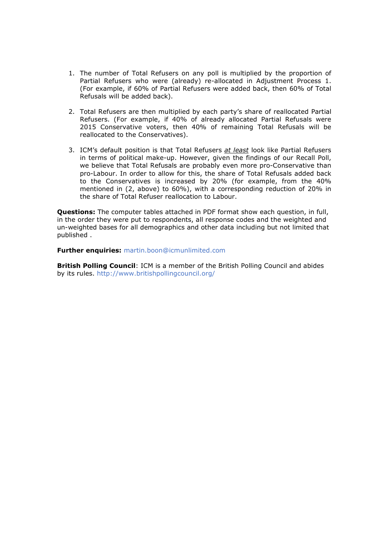- 1. The number of Total Refusers on any poll is multiplied by the proportion of Partial Refusers who were (already) re-allocated in Adjustment Process 1. (For example, if 60% of Partial Refusers were added back, then 60% of Total Refusals will be added back).
- 2. Total Refusers are then multiplied by each party's share of reallocated Partial Refusers. (For example, if 40% of already allocated Partial Refusals were 2015 Conservative voters, then 40% of remaining Total Refusals will be reallocated to the Conservatives).
- 3. ICM's default position is that Total Refusers at least look like Partial Refusers in terms of political make-up. However, given the findings of our Recall Poll, we believe that Total Refusals are probably even more pro-Conservative than pro-Labour. In order to allow for this, the share of Total Refusals added back to the Conservatives is increased by 20% (for example, from the 40% mentioned in (2, above) to 60%), with a corresponding reduction of 20% in the share of Total Refuser reallocation to Labour.

**Questions:** The computer tables attached in PDF format show each question, in full, in the order they were put to respondents, all response codes and the weighted and un-weighted bases for all demographics and other data including but not limited that published .

Further enquiries: martin.boon@icmunlimited.com

British Polling Council: ICM is a member of the British Polling Council and abides by its rules. http://www.britishpollingcouncil.org/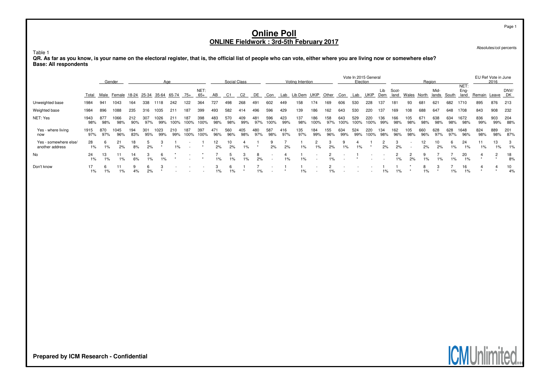Absolutes/col percents

#### Table 1

**QR. As far as you know, is your name on the electoral register, that is, the official list of people who can vote, either where you are living now or somewhere else? Base: All respondents**

|                                          | Gender<br>Aae |            |             |            |            |                   |             |             |               |            | Social Class |            |            |             |            | Voting Intention |                                                      |            |             | Vote In 2015 General<br>Election |             |            |               |            | Region     |               |             |                      |            | EU Ref Vote in June<br>2016 |            |
|------------------------------------------|---------------|------------|-------------|------------|------------|-------------------|-------------|-------------|---------------|------------|--------------|------------|------------|-------------|------------|------------------|------------------------------------------------------|------------|-------------|----------------------------------|-------------|------------|---------------|------------|------------|---------------|-------------|----------------------|------------|-----------------------------|------------|
|                                          | Total         |            | Male Female | 18-24      |            | 25-34 35-64 65-74 |             | $75+$       | NET:<br>$65+$ | AB         | C1           | C2         | DE         | Con         | Lab        | Lib Dem          | UKIP                                                 | Other      | Con         | Lab                              | UKIP        | Lib<br>Dem | Scot-<br>land | Wales      | North      | Mid-<br>lands | South       | NET:<br>Eng-<br>land | Remain     | Leave DK                    | DNV/       |
| Unweighted base                          | 1984          | 941        | 1043        | 164        | 338        | 1118              | 242         | 122         | 364           | 727        | 498          | 268        | 491        | 602         | 449        | 158              | 174                                                  | 169        | 606         | 530                              | 228         | 137        | 181           | 93         | 681        | 621           | 682         | 1710                 | 895        | 876                         | 213        |
| Weighted base                            | 1984          | 896        | 1088        | 235        | 316        | 1035              | 211         | 187         | 399           | 493        | 582          | 414        | 496        | 596         | 429        | 139              | 186                                                  | 162        | 643         | 530                              | 220         | 137        | 169           | 108        | 688        | 647           | 648         | 1708                 | 843        | 908                         | 232        |
| NET: Yes                                 | 1943<br>98%   | 877<br>98% | 1066<br>98% | 212<br>90% | 307<br>97% | 026<br>99%        | 211<br>100% | 187<br>100% | 398<br>100%   | 483<br>98% | 570<br>98%   | 409<br>99% | 481<br>97% | 596<br>100% | 423<br>99% | 137<br>98%       | 186<br>100%                                          | 158<br>97% | 643<br>100% | 529<br>100%                      | 220<br>100% | 136<br>99% | 166<br>98%    | 105<br>98% | 671<br>98% | 638<br>98%    | 634<br>98%  | 1672<br>98%          | 836<br>99% | 903<br>99%                  | 204<br>88% |
| Yes - where living<br>now                | 1915<br>97%   | 870<br>97% | 1045<br>96% | 194<br>83% | 301<br>95% | 023<br>99%        | 210<br>99%  | 187<br>100% | 397<br>100%   | 471<br>96% | 560<br>96%   | 405<br>98% | 480<br>97% | 587<br>98%  | 416<br>97% | 135<br>97%       | 184<br>99%                                           | 155<br>96% | 634<br>99%  | 524<br>99%                       | 220<br>100% | 134<br>98% | 162<br>96%    | 105<br>98% | 660<br>96% | 628<br>97%    | 628<br>97%  | 1648<br>96%          | 824<br>98% | 889<br>98%                  | 201<br>87% |
| Yes - somewhere else/<br>another address | 28<br>1%      | 1%         | 21<br>2%    | 18<br>8%   | 2%         |                   | $1\%$       |             |               | 2%         | 10<br>2%     | $1\%$      |            | 2%          | 2%         | 1%               | 1%                                                   | 2%         | $1\%$       | $1\%$                            |             | 2%         | 2%            |            | 12<br>2%   | 10<br>2%      | 6.<br>$1\%$ | 24<br>1%             | 11<br>1%   | 13<br>1%                    | 3<br>1%    |
| No                                       | 24<br>1%      | 13<br>1%   | $1\%$       | 14<br>6%   | $1\%$      | 1%                |             |             |               | 1%         | $1\%$        | 1%         | 2%         |             | 1%         | $1\%$            | $\overline{\phantom{a}}$<br>$\overline{\phantom{a}}$ | $1\%$      |             |                                  |             |            | 1%            | 2%         |            | 1%            | 1%          | 20<br>$1\%$          | 4          |                             | 18<br>8%   |
| Don't know                               | 17<br>1%      | 1%         | 1%          | 9<br>4%    | 6<br>2%    |                   |             |             |               | 1%         | 6<br>1%      |            | 1%         |             |            |                  | $\overline{\phantom{a}}$                             | 1%         |             |                                  |             | $1\%$      | $1\%$         |            | 1%         |               | 1%          | 16<br>1%             |            |                             | 10<br>4%   |



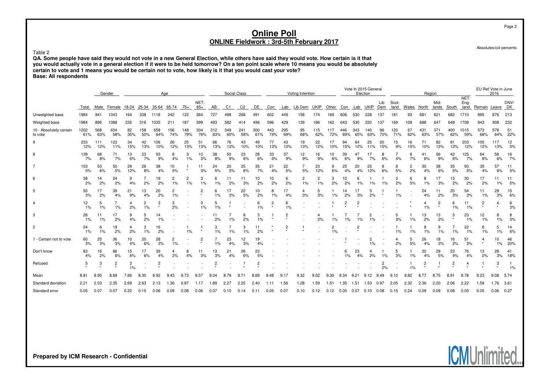Absolutes/col percents

#### Table 2

 **QA. Some people have said they would not vote in a new General Election, while others have said they would vote. How certain is it that you would actually vote in a general election if it were to be held tomorrow? On a ten point scale where 10 means you would be absolutelycertain to vote and 1 means you would be certain not to vote, how likely is it that you would cast your vote?Base: All respondents**

|                                    |             |                                                                      | Gender     |           | Aae        |            |                      |                      | Social Class              |                |                |                |            | Voting Intention |            |                      |            |            | Vote In 2015 General<br>Election |            |            |                      |               | Region    |            |                |                         | EU Ref Vote in June<br>2016 |                           |            |           |
|------------------------------------|-------------|----------------------------------------------------------------------|------------|-----------|------------|------------|----------------------|----------------------|---------------------------|----------------|----------------|----------------|------------|------------------|------------|----------------------|------------|------------|----------------------------------|------------|------------|----------------------|---------------|-----------|------------|----------------|-------------------------|-----------------------------|---------------------------|------------|-----------|
|                                    | Total       | NET:<br>$65+$<br>Male<br>Female<br>18-24<br>25-34 35-64 65-74<br>75+ |            |           |            |            |                      |                      |                           |                | C <sub>1</sub> | C <sub>2</sub> | DE         | Con              | Lab        | Lib Dem UKIP         |            | Other      | Con                              |            | Lab UKIP   | Lib<br>Dem           | Scot-<br>land | Wales     | North      | Mid-<br>lands  | South                   | NET:<br>Eng-                | land Remain Leave DK      |            | DNV/      |
| Unweighted base                    | 1984        | 941                                                                  | 1043       | 164       | 338        | 1118       | 242                  | 122                  | 364                       | 727            |                | 268            | 491        | 602              | 449        | 158                  | 174        | 169        | 606                              | 530        | 228        | 137                  | 181           | 93        | 681        | 621            | 682                     | 1710                        | 895                       | 876        | 213       |
| Weighted base                      | 1984        | 896                                                                  | 1088       | 235       | 316        | 1035       | 211                  | 187                  | 399                       | 493            | 582            | 414            | 496        | 596              | 429        | 139                  | 186        | 162        | 643                              | 530        | 220        | 137                  | 169           | 108       | 688        | 647            | 648                     | 1708                        | 843                       | 908        | 232       |
| 10 - Absolutely certain<br>to vote | 1202<br>61% | 568<br>63%                                                           | 634<br>58% | 82<br>35% | 158<br>50% | 658<br>64% | 156<br>74%           | 148<br>79%           | 304<br>76%                | 312<br>63%     | 349<br>60%     | 241<br>58%     | 300<br>61% | 443<br>74%       | 295<br>69% | 95<br>68%            | 115<br>62% | 117<br>72% | 446<br>69%                       | 343<br>65% | 140<br>63% | 96<br>70%            | 120<br>71%    | 67<br>62% | 431<br>63% | 371<br>57%     | 400<br>62%              | 1015<br>59%                 | 573<br>68%                | 578<br>64% | 51<br>22% |
| 9                                  | 233<br>12%  | 111<br>12%                                                           | 123<br>11% | 34<br>15% | 42<br>13%  | 106<br>10% | 26<br>12%            | 25<br>13%            | 51<br>13%                 | 66<br>13%      | 76<br>13%      | 43<br>10%      | 49<br>10%  | 77<br>13%        | 43<br>10%  | 19<br>13%            | 22<br>12%  | 17<br>10%  | 94<br>15%                        | 64<br>12%  | 25<br>11%  | 20<br>15%            | 15<br>9%      | 16<br>15% | 71<br>10%  | 82<br>13%      | 81<br>12%               | 203<br>12%                  | 105<br>12%                | 117<br>13% | 12<br>5%  |
| 8                                  | 139<br>7%   | 68<br>8%                                                             | 71<br>7%   | 13<br>6%  | 23<br>7%   | 93<br>9%   | 8<br>4%              | 1%                   | 10<br>3%                  | 38<br>8%       | 50<br>9%       | 23<br>6%       | 28<br>6%   | 33<br>6%         | 37<br>9%   | 12<br>9%             | 16<br>9%   | 10<br>6%   | 39<br>6%                         | 47<br>9%   | 17<br>7%   | 8<br>6%              | 4%            | 8<br>7%   | 41<br>6%   | 56<br>9%       | 42<br>6%                | 125<br>7%                   | 64<br>8%                  | 58<br>6%   | 16<br>7%  |
|                                    | 103<br>5%   | 53<br>6%                                                             | 50<br>5%   | 29<br>12% | 26<br>8%   | 38<br>4%   | 10<br>5%             |                      | 11<br>3%                  | 24<br>5%       | 20<br>3%       | 25<br>6%       | 35<br>7%   | 21<br>4%         | 22<br>5%   | 5%                   | 23<br>12%  | 9<br>6%    | 25<br>4%                         | 20<br>4%   | 25<br>12%  | 8<br>6%              | 5%            | 2<br>2%   | 30<br>4%   | 38<br>6%       | 35<br>5%                | 93<br>5%                    | 35<br>4%                  | 57<br>6%   | 11<br>5%  |
| 6                                  | 38<br>2%    | 14<br>2%                                                             | 24<br>2%   | 9<br>4%   | 2%         | 19<br>2%   | $\overline{c}$<br>1% | $\overline{2}$<br>1% | 3<br>1%                   | 6<br>1%        | 11<br>2%       | 11<br>3%       | 10<br>2%   | 10<br>2%         | 6<br>2%    | $\overline{c}$<br>1% | 2<br>1%    | 3<br>2%    | 10<br>2%                         | 6<br>1%    | 1%         | 1%                   | 3<br>2%       | 6<br>5%   | 8<br>1%    | 17<br>3%       | 13<br>2%                | 30<br>2%                    | 17<br>2%                  | 1%         | 11<br>5%  |
| 5                                  | 55<br>3%    | 17<br>2%                                                             | 39<br>4%   | 21<br>9%  | 13<br>4%   | 20<br>2%   | 2<br>1%              |                      | $\overline{c}$<br>$\star$ | 6<br>1%        | 17<br>3%       | 22<br>5%       | 10<br>2%   | 8<br>1%          | 4%         | 4<br>3%              | 5<br>3%    | 1%         | 14<br>2%                         | 3%         | 2%         |                      | 1%            |           | 24<br>4%   | 11<br>2%       | 20<br>3%                | 54<br>3%                    | 11<br>1%                  | 29<br>3%   | 15<br>6%  |
|                                    | 12<br>1%    | 5<br>$1\%$                                                           | 1%         | 4<br>2%   | 1%         | 3          | 3<br>2%              |                      | 3<br>$1\%$                | 5<br>1%        |                |                | 6<br>1%    | 2                | 6<br>1%    |                      |            |            | 2                                | 2          |            |                      |               |           | 4<br>1%    | $\overline{2}$ | 6<br>1%                 | 11<br>1%                    | $\overline{2}$<br>$\star$ |            | 6<br>3%   |
| 3                                  | 28<br>1%    | 11<br>1%                                                             | 17<br>2%   | 9<br>4%   | 2%         | 14<br>1%   |                      |                      |                           | 11<br>2%       | 1%             | 8<br>2%        | 3<br>1%    |                  | 2          |                      | 2%         | 1%         | 1%                               |            |            |                      | 5<br>3%       | 1%        | 13<br>2%   | 13<br>2%       | 3                       | 23<br>1%                    | 12<br>1%                  | 1%         | 8<br>3%   |
| 2                                  | 24<br>1%    | 6<br>1%                                                              | 19<br>2%   | 2%        | 1%         | 16<br>2%   |                      |                      |                           | 3<br>1%        | 1%             | 3<br>1%        | 11<br>2%   |                  | 2          |                      |            | 2<br>1%    |                                  | 2          |            |                      | 1%            | 1%        | 8<br>1%    | 1%             | 1%                      | 22<br>1%                    | 6<br>1%                   | 1%         | 14<br>6%  |
| 1 - Certain not to vote            | 60<br>3%    | 25<br>3%                                                             | 36<br>3%   | 10<br>4%  | 20<br>6%   | 28<br>3%   | 2<br>1%              |                      | $\overline{2}$            | 1%             | 23<br>4%       | 12<br>3%       | 19         |                  |            |                      |            |            |                                  |            |            |                      | 2%            | 5<br>5%   | 26<br>4%   | 18<br>3%       | 16<br>2%                | 51<br>3%                    | 4<br>$\star$              | 10<br>1%   | 46<br>20% |
| Don't know                         | 83<br>4%    | 16<br>2%                                                             | 66<br>6%   | 15<br>6%  | 17<br>6%   | 39<br>4%   | 2%                   | 4%                   | 11<br>3%                  | 13<br>3%       | 21<br>4%       | 26<br>6%       | 23<br>5%   |                  |            |                      |            |            | 1%                               | 23<br>4%   | 2%         | 1%                   | 5<br>3%       | 1%        | 30<br>4%   | 29<br>5%       | 23<br>4%                | 76<br>4%                    | 13<br>2%                  | 28<br>3%   | 41<br>18% |
| Refused                            | 5           | 3                                                                    | 2          | 3<br>1%   |            | 2          |                      |                      |                           | $\overline{c}$ |                |                |            |                  |            |                      |            |            |                                  |            |            | $\overline{2}$<br>2% |               | 1%        | 2          |                | $\overline{\mathbf{c}}$ |                             |                           | 3          | 1%        |
| Mean                               | 8.81        | 8.95                                                                 | 8.69       | 7.66      | 8.30       | 8.92       | 9.43                 | 9.73                 | 9.57                      | 9.04           | 8.79           | 8.71           | 8.69       | 9.48             | 9.17       | 9.32                 | 9.02       | 9.30       | 9.34                             | 9.21       | 9.12       | 9.49                 | 9.10          | 8.82      | 8.77       | 8.75           | 8.91                    | 8.78                        | 9.23                      | 9.08       | 5.74      |
| Standard deviation                 | 2.21        | 2.03                                                                 | 2.35       | 2.69      | 2.63       | 2.13       | 1.36                 | 0.87                 | 1.17                      | .89            | 2.27           | 2.25           | 2.40       | 1.11             | 1.56       | 1.28                 | 1.59       | 1.51       | 1.35                             | 1.51       | 1.53       | 0.97                 | 2.05          | 2.32      | 2.36       | 2.20           | 2.06                    | 2.22                        | 1.59                      | 1.76       | 3.61      |
| Standard error                     | 0.05        | 0.07                                                                 | 0.07       | 0.22      | 0.15       | 0.06       | 0.09                 | 0.08                 | 0.06                      | 0.07           | 0.10           | 0.14           | 0.11       | 0.05             | 0.07       | 0.10                 | 0.12       | 0.12       | 0.05                             | 0.07       | 0.10       | 0.08                 | 0.15          | 0.24      | 0.09       | 0.09           | 0.08                    | 0.05                        | 0.05                      | 0.06       | 0.27      |

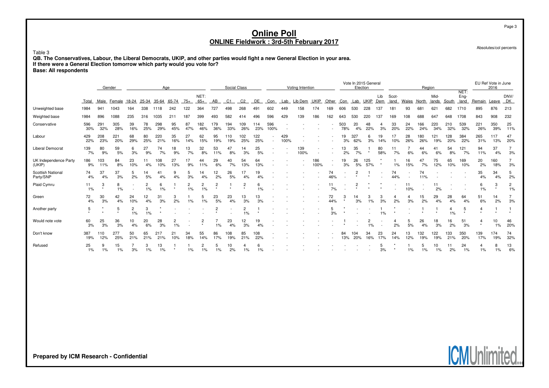Absolutes/col percents

**ICMUnlin** 

Page 3

Table 3QB. The Conservatives, Labour, the Liberal Democrats, UKIP, and other parties would fight a new General Election in your area.<br>If there were a General Election tomorrow which party would you vote for?<br>Base: All respondents

|                                       | Aae<br>Gender |            |              |           |           |             |                      |           |               |                           | Social Class |                |            |                          |             | Voting Intention |             |           |            | Vote In 2015 General<br>Election |            |            |               |           | Region     |               |            |                      |              | EU Ref Vote in June<br>2016 |                      |
|---------------------------------------|---------------|------------|--------------|-----------|-----------|-------------|----------------------|-----------|---------------|---------------------------|--------------|----------------|------------|--------------------------|-------------|------------------|-------------|-----------|------------|----------------------------------|------------|------------|---------------|-----------|------------|---------------|------------|----------------------|--------------|-----------------------------|----------------------|
|                                       | Total         | Male       | Female 18-24 |           | 25-34     | 35-64       | 65-74                | $75+$     | NET:<br>$65+$ | AB                        | C1           | C <sub>2</sub> | DE         | Con                      | Lab         | Lib Dem UKIP     |             | Other     | Con        | Lab                              | UKIP       | Lib<br>Dem | Scot-<br>land | Wales     | North      | Mid-<br>lands | South      | NET:<br>Eng-<br>land | Remain       | Leave                       | DNV/<br><b>DK</b>    |
| Unweighted base                       | 1984          | 941        | 1043         | 164       | 338       | 1118        | 242                  | 122       | 364           | 727                       | 498          | 268            | 491        | 602                      | 449         | 158              | 174         | 169       | 606        | 530                              | 228        | 137        | 181           | 93        | 681        | 621           | 682        | 1710                 | 895          | 876                         | 213                  |
| Weighted base                         | 1984          | 896        | 1088         | 235       | 316       | 1035        | 211                  | 187       | 399           | 493                       | 582          | 414            | 496        | 596                      | 429         | 139              | 186         | 162       | 643        | 530                              | 220        | 137        | 169           | 108       | 688        | 647           | 648        | 1708                 | 843          | 908                         | 232                  |
| Conservative                          | 596<br>30%    | 291<br>32% | 305<br>28%   | 39<br>16% | 78<br>25% | 298<br>29%  | 95<br>45%            | 87<br>47% | 182<br>46%    | 179<br>36%                | 194<br>33%   | 109<br>26%     | 14<br>23%  | 596<br>100%              |             |                  |             |           | 503<br>78% | 20<br>4%                         | 48<br>22%  | 3%         | 33<br>20%     | 24<br>22% | 166<br>24% | 220<br>34%    | 210<br>32% | 539<br>32%           | 221<br>26%   | 350<br>39%                  | 25<br>11%            |
| Labour                                | 429<br>22%    | 208<br>23% | 221<br>20%   | 68<br>29% | 80<br>25% | 220<br>21%  | 35<br>16%            | 27<br>14% | 62<br>15%     | 95<br>19%                 | 19%          | 102<br>25%     | 122<br>25% | $\overline{\phantom{a}}$ | 429<br>100% |                  |             |           | 19<br>3%   | 327<br>62%                       | 3%         | 14%        | 10%           | 28<br>26% | 180<br>26% | 121<br>19%    | 128<br>20% | 384<br>22%           | 265<br>31%   | 117<br>13%                  | 47<br>20%            |
| <b>Liberal Democrat</b>               | 139<br>7%     | 80<br>9%   | 59<br>5%     | 6<br>3%   | 27<br>9%  | 74<br>7%    | 18<br>9%             | 13<br>7%  | 32<br>8%      | 53<br>11%                 | 47<br>8%     | 14<br>3%       | 25<br>5%   |                          |             | 139<br>100%      |             |           | 13<br>2%   | 35<br>7%                         | $\star$    | 80<br>58%  | 7%            | 6%        | 44<br>6%   | 41<br>6%      | 54<br>8%   | 121<br>7%            | 94<br>11%    | 37<br>4%                    | 3%                   |
| UK Independence Party<br>(UKIP)       | 186<br>9%     | 103<br>11% | 84<br>8%     | 23<br>10% | 11<br>4%  | 108<br>10%  | 27<br>13%            | 17<br>9%  | 44<br>11%     | 29<br>6%                  | 40<br>7%     | 54<br>13%      | 64<br>13%  |                          |             |                  | 186<br>100% | $\sim$    | 19<br>3%   | 26<br>5%                         | 125<br>57% |            | 1%            | 16<br>15% | 47<br>7%   | 75<br>12%     | 65<br>10%  | 169<br>10%           | 20<br>2%     | 160<br>18%                  | 3%                   |
| <b>Scottish National</b><br>Party/SNP | 74<br>4%      | 37<br>4%   | 37<br>3%     | 5<br>2%   | 14<br>5%  | 41<br>4%    | 9<br>4%              | 3%        | 14<br>4%      | 12<br>2%                  | 26<br>5%     | 17<br>4%       | 19<br>4%   |                          |             |                  |             | 74<br>46% |            | $\star$                          | $\star$    |            | 74<br>44%     |           | 74<br>11%  |               |            |                      | 35<br>4%     | 34<br>4%                    | 5<br>2%              |
| Plaid Cymru                           | 11<br>1%      | 3          | 8<br>1%      |           | 2<br>1%   | 6<br>$1\%$  |                      | 2<br>1%   | 2<br>1%       | $\overline{2}$<br>$\star$ |              | $\overline{2}$ | 6<br>1%    |                          |             |                  |             | 7%        |            | $\overline{2}$                   |            |            |               | 11<br>10% |            | 2%            |            |                      | 6<br>1%      | 3<br>$\star$                | $\overline{c}$<br>1% |
| Green                                 | 72<br>4%      | 30<br>3%   | 42<br>4%     | 24<br>10% | 12<br>4%  | 31<br>3%    | 3<br>2%              | 1%        | 5<br>1%       | 23<br>5%                  | 23<br>4%     | 13<br>3%       | 13<br>3%   |                          |             |                  |             | 72<br>44% | $\star$    | 14<br>3%                         | 3<br>$1\%$ | 3%         | 2%            | 3%        | 15<br>2%   | 29<br>4%      | 28<br>4%   | 64<br>4%             | 51<br>6%     | 14<br>2%                    | 3%                   |
| Another party                         | 5<br>$\star$  |            | 5            | 2<br>1%   | 3<br>1%   |             |                      |           |               | $\overline{c}$            |              | 2<br>1%        |            |                          |             |                  |             | 3%        |            |                                  |            | 1%         |               |           |            |               | $1\%$      | 5                    | 4            |                             |                      |
| Would note vote                       | 60<br>3%      | 25<br>3%   | 36<br>3%     | 10<br>4%  | 20<br>6%  | 28<br>3%    | $\overline{2}$<br>1% |           | 2             | 1%                        | 23<br>4%     | 12<br>3%       | 19<br>4%   |                          |             |                  |             |           |            |                                  | 2<br>1%    |            | 2%            | 5<br>5%   | 26<br>4%   | 18<br>3%      | 16<br>2%   | 51<br>3%             | 4<br>$\star$ | 10<br>$1\%$                 | 46<br>20%            |
| Don't know                            | 387<br>19%    | 110<br>12% | 277<br>25%   | 50<br>21% | 65<br>21% | 217<br>21%  | 21<br>10%            | 34<br>18% | 55<br>14%     | 86<br>17%                 | 108<br>19%   | 85<br>21%      | 108<br>22% |                          |             |                  |             |           | 84<br>13%  | 104<br>20%                       | 34<br>16%  | 23<br>17%  | 24<br>14%     | 13<br>12% | 132<br>19% | 122<br>19%    | 133<br>21% | 350<br>20%           | 139<br>17%   | 174<br>19%                  | 74<br>32%            |
| Refused                               | 25<br>1%      | 9<br>1%    | 15<br>1%     | 3%        | 1%        | 13<br>$1\%$ |                      | 1%        | 2<br>1%       | 1%                        | 10<br>2%     | 1%             | ĥ          |                          |             |                  |             |           |            |                                  |            | 3%         |               | $1\%$     | 5<br>1%    | 10<br>1%      | 2%         | 24<br>1%             | 1%           | 8<br>$1\%$                  | 13<br>6%             |

**Prepared by ICM Research - Confidential**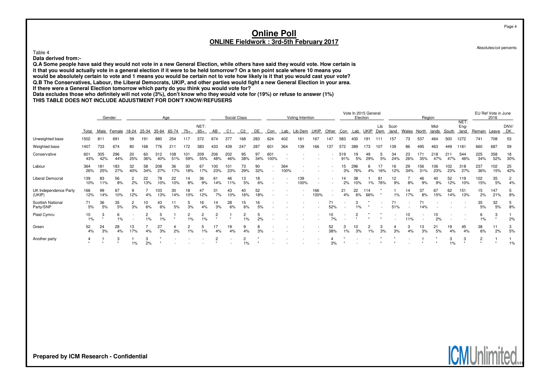Absolutes/col percents

#### Table 4

**Data derived from:-**

 **Q.A Some people have said they would not vote in a new General Election, while others have said they would vote. How certain isit that you would actually vote in a general election if it were to be held tomorrow? On a ten point scale where 10 means you would be absolutely certain to vote and 1 means you would be certain not to vote how likely is it that you would cast your vote? Q.B The Conservatives, Labour, the Liberal Democrats, UKIP, and other parties would fight a new General Election in your area.If there were a General Election tomorrow which party do you think you would vote for?**

**Data excludes those who definitely will not vote (3%), don't know who they would vote for (19%) or refuse to answer (1%)**

**THIS TABLE DOES NOT INCLUDE ADJUSTMENT FOR DON'T KNOW/REFUSERS**

|                                       | Gender<br>Age                                                        |            |            |                |            |            |            |            |               |                | Social Class             |           |           |             |             | Voting Intention |             |                          |            | Vote In 2015 General<br>Election |             |            |               |           | Region     |               |            |                      |                | EU Ref Vote in June<br>2016 |                      |
|---------------------------------------|----------------------------------------------------------------------|------------|------------|----------------|------------|------------|------------|------------|---------------|----------------|--------------------------|-----------|-----------|-------------|-------------|------------------|-------------|--------------------------|------------|----------------------------------|-------------|------------|---------------|-----------|------------|---------------|------------|----------------------|----------------|-----------------------------|----------------------|
|                                       | 65-74<br>$75+$<br>Male<br>18-24<br>25-34<br>Total<br>35-64<br>Female |            |            |                |            |            |            |            | NET:<br>$65+$ | AB             | C1                       |           | DE        | Con         | Lab         | Lib Dem          | UKIP        | Other                    | Con        | Lab                              | <b>UKIP</b> | Lib<br>Dem | Scot-<br>land | Wales     | North      | Mid-<br>lands | South      | NET:<br>Eng-<br>land | Remain         | Leave                       | DNV/<br>DK           |
| Unweighted base                       | 1502                                                                 | 811        | 69         | 59             | 191        | 880        | 254        |            | 372           | 674            | 377                      | 168       | 283       | 624         | 402         | 161              | 167         | 147                      | 583        | 430                              | 191         |            | 157           | 73        | 537        | 464           | 500        | 1272                 | 741            | 708                         | 53                   |
| Weighted base                         | 1407                                                                 | 733        | 674        | 80             | 168        | 776        | 211        | 172        | 383           | 433            | 439                      | 247       | 287       | 601         | 364         | 139              | 166         | 137                      | 572        | 389                              | 173         | 107        | 139           | 86        | 495        | 463           | 449        | 1181                 | 660            | 687                         | 59                   |
| Conservative                          | 601<br>43%                                                           | 305<br>42% | 296<br>44% | 20<br>25%      | 60<br>36%  | 312<br>40% | 108<br>51% | 101<br>59% | 209<br>55%    | 206<br>48%     | 202<br>46%               | 95<br>38% | 97<br>34% | 601<br>100% |             |                  |             |                          | 519<br>91% | 5%                               | 49<br>29%   | 5%         | 34<br>24%     | 23<br>26% | 171<br>35% | 218<br>47%    | 211<br>47% | 544<br>46%           | 225<br>34%     | 358<br>52%                  | 18<br>30%            |
| Labour                                | 364<br>26%                                                           | 181<br>25% | 183<br>27% | 32<br>40%      | 58<br>34%  | 208<br>27% | 36<br>17%  | 30<br>18%  | 67<br>17%     | 100<br>23%     | 101<br>23%               | 73<br>29% | 90<br>32% |             | 364<br>100% |                  |             |                          | 15<br>3%   | 296<br>76%                       | 4%          |            | 16<br>12%     | 29<br>34% | 156<br>31% | 106<br>23%    | 102<br>23% | 318<br>27%           | 237<br>36%     | 102<br>15%                  | 25<br>42%            |
| <b>Liberal Democrat</b>               | 139<br>10%                                                           | 83<br>11%  | 56<br>8%   | $\Omega$<br>2% | 22<br>13%  | 78<br>10%  | 22<br>10%  | 14<br>8%   | 36<br>9%      | 61<br>14%      | 46<br>11%                | 13<br>5%  | 18<br>6%  |             |             | 139<br>100%      |             |                          | 14<br>2%   | 38<br>10%                        | $1\%$       | 81<br>76%  | 12<br>9%      | 8%        | 46<br>9%   | 40<br>9%      | 52<br>12%  | 119<br>10%           | 102<br>15%     | 35<br>5%                    | $\overline{2}$<br>4% |
| UK Independence Party<br>(UKIP)       | 166<br>12%                                                           | 99<br>14%  | 67<br>10%  | 12%            | 4%         | 103<br>13% | 30<br>14%  | 18<br>10%  | 47<br>12%     | 31<br>7%       | 43<br>10%                | 40<br>16% | 52<br>18% |             |             |                  | 166<br>100% | $\overline{\phantom{a}}$ | 21<br>4%   | 22<br>6%                         | 114<br>66%  |            | 1%            | 14<br>17% | 37<br>8%   | 67<br>15%     | 62<br>14%  | 151<br>13%           | 15<br>2%       | 147<br>21%                  | 5<br>8%              |
| <b>Scottish National</b><br>Party/SNP | 71<br>5%                                                             | 36<br>5%   | 35<br>5%   | 3%             | 10<br>6%   | 43<br>6%   | 5%         | 3%         | 16<br>4%      | 14<br>3%       | 28<br>6%                 | 15<br>6%  | 16<br>5%  |             |             |                  |             | 71<br>52%                |            | 3<br>1%                          |             |            | 71<br>51%     |           | 14%        |               |            |                      | 35<br>5%       | 32<br>5%                    | 5<br>8%              |
| Plaid Cymru                           | 10<br>1%                                                             | 3          | 6<br>$1\%$ |                | 2<br>$1\%$ | 5<br>1%    |            | 2<br>1%    | 2<br>1%       | $\overline{c}$ |                          | 2<br>1%   | 2%        |             |             |                  |             | 10<br>7%                 |            |                                  |             |            |               | 10<br>11% |            | 10<br>2%      |            |                      | 6<br>1%        | -3                          | 2%                   |
| Green                                 | 52<br>4%                                                             | 24<br>3%   | 28<br>4%   | 13<br>17%      | 4%         | 27<br>3%   | 4<br>2%    | 2<br>1%    | 5<br>1%       | 17<br>4%       | 19<br>4%                 | 9<br>4%   | 3%        |             |             |                  |             | 52<br>38%                | 1%         | 10<br>3%                         |             | 3<br>3%    | 3%            | 3<br>4%   | 13<br>3%   | 21<br>5%      | 19<br>4%   | 45<br>4%             | 38<br>6%       | 11<br>2%                    | 3<br>5%              |
| Another party                         | 4                                                                    |            | 3          | $1\%$          | 3<br>2%    |            |            |            |               | $\overline{c}$ | $\overline{\phantom{a}}$ | 2<br>1%   |           |             |             |                  |             | 3%                       |            |                                  |             |            |               |           |            |               | 3<br>1%    | 3                    | $\overline{c}$ |                             | 1%                   |

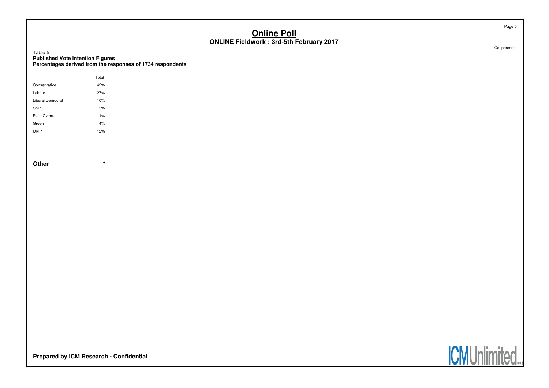Table 5**Published Vote Intention Figures Percentages derived from the responses of 1734 respondents**

|                  | Total |  |
|------------------|-------|--|
| Conservative     | 42%   |  |
| Labour           | 27%   |  |
| Liberal Democrat | 10%   |  |
| <b>SNP</b>       | 5%    |  |
| Plaid Cymru      | 1%    |  |
| Green            | 4%    |  |
| <b>UKIP</b>      | 12%   |  |

**Other \***

Col percents

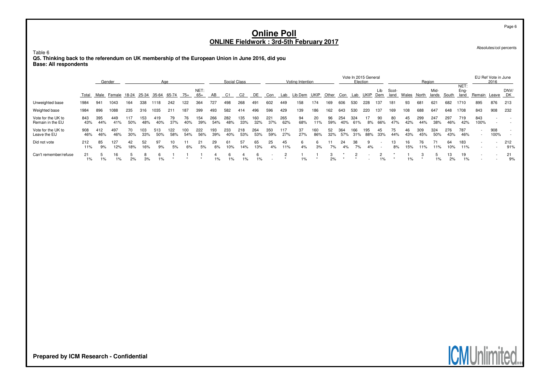Table 6

**Q5. Thinking back to the referendum on UK membership of the European Union in June 2016, did you Base: All respondents**

|                                        |            |            | Gender      |            |            | Aae                     |             |            |             |            | Social Class |            |            |            |            | Voting Intention |            |              |            |            | Vote In 2015 General<br>Election |            |               |           |            | Region               |              | NET:         |                                                      | EU Ref Vote in June<br>2016 |            |
|----------------------------------------|------------|------------|-------------|------------|------------|-------------------------|-------------|------------|-------------|------------|--------------|------------|------------|------------|------------|------------------|------------|--------------|------------|------------|----------------------------------|------------|---------------|-----------|------------|----------------------|--------------|--------------|------------------------------------------------------|-----------------------------|------------|
|                                        | Total      | Male       | Female      |            |            | 18-24 25-34 35-64 65-74 |             | 75+        | NET:<br>65+ | AB         | - C1         | C2         | DE         | Con        | Lab        | Lib Dem          | UKIP       | <b>Other</b> | Con        | Lab        |                                  | Lib<br>Dem | Scot-<br>land | Wales     | North      | Mid-<br><u>lands</u> | <b>South</b> | Eng-<br>land | Remain                                               | Leave DK                    | DNV/       |
| Unweighted base                        | 1984       | 941        | 1043        | 164        | 338        | 1118                    | 242         | 122        | 364         | 727        | 498          | 268        | 491        | 602        | 449        | 158              | 174        | 169          | 606        | 530        | 228                              | 137        | 181           | 93        | 681        | 621                  | 682          | 1710         | 895                                                  | 876                         | 213        |
| Weighted base                          | 1984       | 896        | 1088        | 235        | 316        | 1035                    | 211         | 187        | 399         | 493        | 582          | 414        | 496        | 596        | 429        | 139              | 186        | 162          | 643        | 530        | 220                              | 137        | 169           | 108       | 688        | 647                  | 648          | 1708         | 843                                                  | 908                         | 232        |
| Vote for the UK to<br>Remain in the EU | 843<br>43% | 395<br>44% | 449<br>41%  | 117<br>50% | 153<br>48% | 419<br>40%              | 79<br>37%   | 76<br>40%  | 154<br>39%  | 266<br>54% | 282<br>48%   | 135<br>33% | 160<br>32% | 221<br>37% | 265<br>62% | 94<br>68%        | 20<br>11%  | 96<br>59%    | 254<br>40% | 324<br>61% | 8%                               | 90<br>66%  | 80<br>47%     | 45<br>42% | 299<br>44% | 247<br>38%           | 297<br>46%   | 719<br>42%   | 843<br>100%                                          |                             |            |
| Vote for the UK to<br>Leave the EU     | 908<br>46% | 412<br>46% | 497<br>46%  | 70<br>30%  | 103<br>33% | 513<br>50%              | 122.<br>58% | 100<br>54% | 222<br>56%  | 193<br>39% | 233<br>40%   | 218<br>53% | 264<br>53% | 350<br>59% | 117<br>27% | 37<br>27%        | 160<br>86% | 52<br>32%    | 364<br>57% | 166<br>31% | 195<br>88%                       | 45<br>33%  | 75<br>44%     | 46<br>43% | 309<br>45% | 324<br>50%           | 276<br>43%   | 787<br>46%   | $\overline{\phantom{a}}$<br>$\overline{\phantom{a}}$ | 908<br>100%                 |            |
| Did not vote                           | 212<br>11% | 85<br>9%   | 127<br>12%  | 42<br>18%  | 52<br>16%  | 97<br>9%                | 5%          | 6%         | 21<br>5%    | 29<br>6%   | 61<br>10%    | 57<br>14%  | 65<br>13%  | 25<br>4%   | 45<br>11%  | 4%               | 3%         | 7%           | 24<br>4%   | 38<br>7%   | 4%                               |            | 13.<br>8%     | 16<br>15% | 76<br>11%  | 71<br>11%            | 64<br>10%    | 183<br>11%   | $\overline{\phantom{a}}$                             |                             | 212<br>91% |
| Can't remember/refuse                  | 21<br>1%   | $1\%$      | 16<br>$1\%$ | 2%         | 8<br>3%    | $1\%$                   |             |            |             | 1%         | $1\%$        | 1%         | $1\%$      |            |            | 1%               |            | 2%           |            |            |                                  | $1\%$      |               | $1\%$     |            | $1\%$                | 2%           | 19<br>$1\%$  | $\sim$                                               |                             | 21<br>9%   |

Absolutes/col percents

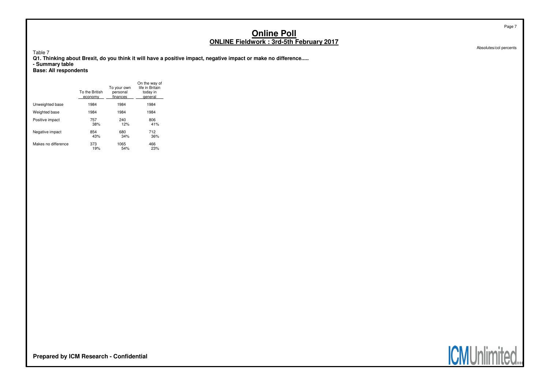Table 7

**Q1. Thinking about Brexit, do you think it will have a positive impact, negative impact or make no difference..... - Summary table Base: All respondents**

|                     | To the British<br>economy | To your own<br>personal<br>finances | On the way of<br>life in Britain<br>today in<br>general |
|---------------------|---------------------------|-------------------------------------|---------------------------------------------------------|
| Unweighted base     | 1984                      | 1984                                | 1984                                                    |
| Weighted base       | 1984                      | 1984                                | 1984                                                    |
| Positive impact     | 757                       | 240                                 | 806                                                     |
|                     | 38%                       | 12%                                 | 41%                                                     |
| Negative impact     | 854                       | 680                                 | 712                                                     |
|                     | 43%                       | 34%                                 | 36%                                                     |
| Makes no difference | 373                       | 1065                                | 466                                                     |
|                     | 19%                       | 54%                                 | 23%                                                     |



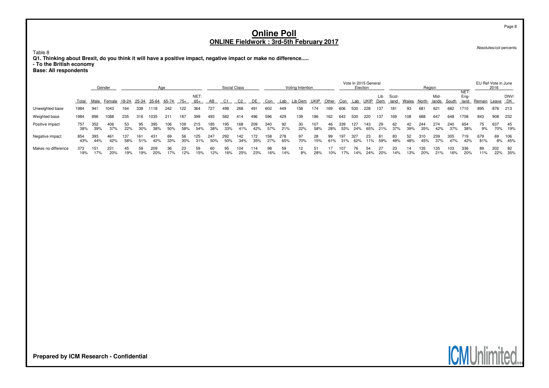Table 8

**Q1. Thinking about Brexit, do you think it will have a positive impact, negative impact or make no difference..... - To the British economy Base: All respondents**

|                     |            |            | Gender                                    |            |            | Aae        |            |            |               |            | Social Class |            |            |            |            | Voting Intention |            |           |            | Election   | Vote In 2015 General |            |               |           | Region     |               |            |                      | EU Ref Vote in June | 2016       |                |
|---------------------|------------|------------|-------------------------------------------|------------|------------|------------|------------|------------|---------------|------------|--------------|------------|------------|------------|------------|------------------|------------|-----------|------------|------------|----------------------|------------|---------------|-----------|------------|---------------|------------|----------------------|---------------------|------------|----------------|
|                     |            |            | Total Male Female 18-24 25-34 35-64 65-74 |            |            |            |            | 75+        | NET:<br>$65+$ | AB         | C1           | C2         | DE         | Con        | Lab        | Lib Dem          | UKIP       | Other     | Con        | Lab        | UKIP                 | Lib<br>Dem | Scot-<br>land | Wales     | North      | Mid-<br>lands | South      | NET:<br>Eng-<br>land | Remain Leave DK     |            | DNV/           |
| Unweighted base     | 1984       | 941        | 1043                                      | 164        | 338        | 1118       | 242        | 122        | 364           | 727        | 498          | 268        | 491        | 602        | 449        | 158              | 174        | 169       | 606        | 530        | 228                  | 137        | 181           | 93        | 681        | 621           | 682        | 1710                 | 895                 | 876        | 213            |
| Weighted base       | 1984       | 896        | 1088                                      | 235        | 316        | 1035       | 211        | 187        | 399           | 493        | 582          | 414        | 496        | 596        | 429        | 139              | 186        | 162       | 643        | 530        | 220                  | 137        | 169           | 108       | 688        | 647           | 648        | 1708                 | 843                 | 908        | - 232          |
| Positive impact     | 757<br>38% | 352<br>39% | 406<br>37%                                | 53<br>22%  | 95<br>30%  | 395<br>38% | 106<br>50% | 109<br>58% | 215<br>54%    | 185<br>38% | 195<br>33%   | 168<br>41% | 209<br>42% | 340<br>57% | 92<br>21%  | 30<br>22%        | 107<br>58% | 46<br>28% | 339<br>53% | 127<br>24% | 143<br>65%           | 29<br>21%  | 62<br>37%     | 42<br>39% | 244<br>35% | 274<br>42%    | 240<br>37% | 654<br>38%           | 75<br>9%            | 637        | -45<br>70% 19% |
| Negative impact     | 854<br>43% | 393<br>44% | 461<br>42%                                | 137<br>58% | 161<br>51% | 431<br>42% | 69<br>33%  | 56<br>30%  | 125<br>31%    | 247<br>50% | 292<br>50%   | 142<br>34% | 172<br>35% | 158<br>27% | 278<br>65% | 97<br>70%        | 28<br>15%  | 99<br>61% | 197<br>31% | 327<br>62% | 23.<br>11%           | 81<br>59%  | 83<br>49%     | 52<br>48% | 310<br>45% | 239<br>37%    | 305<br>47% | 719<br>42%           | 679<br>81%          | 69         | 106<br>8% 45%  |
| Makes no difference | 373<br>19% | 151<br>17% | 221<br>20%                                | 45<br>19%  | 59<br>19%  | 209<br>20% | 36<br>17%  | 23<br>12%  | 59<br>15%     | 60<br>12%  | 95<br>16%    | 104<br>25% | 114<br>23% | 98<br>16%  | 59<br>14%  | 12<br>8%         | 51<br>28%  | 10%       | 107<br>17% | 76.<br>14% | 54<br>24%            | 20%        | 23<br>14%     | 14<br>13% | 135<br>20% | 135<br>21%    | 103<br>16% | 336<br>20%           | 89<br>11%           | 202<br>22% | - 82<br>35%    |

**Prepared by ICM Research - Confidential**

Page 8

Absolutes/col percents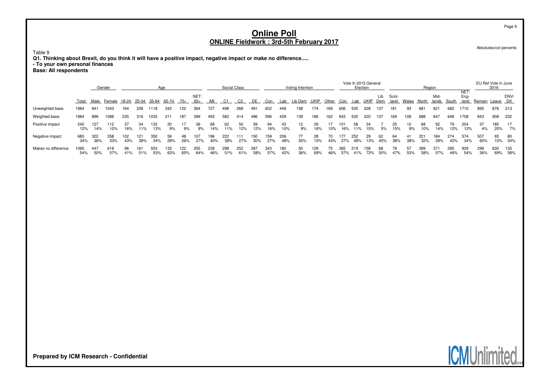Table 9

**Q1. Thinking about Brexit, do you think it will have a positive impact, negative impact or make no difference..... - To your own personal finances Base: All respondents**

|                     |             |            | Gender                              |            |            | Aae        |            |            |               |            | Social Class |                |            |            |            | Voting Intention |             |           |            | Election   | Vote In 2015 General |            |               |           | Region     |               |            |                      | EU Ref Vote in June | 2016       |                |
|---------------------|-------------|------------|-------------------------------------|------------|------------|------------|------------|------------|---------------|------------|--------------|----------------|------------|------------|------------|------------------|-------------|-----------|------------|------------|----------------------|------------|---------------|-----------|------------|---------------|------------|----------------------|---------------------|------------|----------------|
|                     | Total       |            | Male Female 18-24 25-34 35-64 65-74 |            |            |            |            | 75+        | NET:<br>$65+$ | AB         | C1           | C <sub>2</sub> | DE         | Con        | Lab        | Lib Dem          | <b>UKIP</b> | Other     | Con        | Lab        |                      | Lib<br>Dem | Scot-<br>land | Wales     | North      | Mid-<br>lands | South      | NET:<br>Eng-<br>land | Remain Leave DK     |            | DNV/           |
| Unweighted base     | 1984        | 941        | 1043                                | 164        | 338        | 1118       | 242        | 122        | 364           | 727        | 498          | 268            | 491        | 602        | 449        | 158              | 174         | 169       | 606        | 530        | 228                  | 137        | 181           | 93        | 681        | 621           | 682        | 1710                 | 895                 | 876        | 213            |
| Weighted base       | 1984        | 896        | 1088                                | 235        | 316        | 1035       | 211        | 187        | 399           | 493        | 582          | 414            | 496        | 596        | 429        | 139              | 186         | 162       | 643        | 530        | 220                  | 137        | 169           | 108       | 688        | 647           | 648        | 1708                 | 843                 | 908        | 232            |
| Positive impact     | 240<br>12%  | 127<br>14% | 112<br>10%                          | 16%        | 34<br>11%  | 132<br>13% | 20<br>9%   | 9%         | 36<br>9%      | 68<br>14%  | 62<br>11%    | 50<br>12%      | 59<br>12%  | 94<br>16%  | 43<br>10%  | 12<br>9%         | 29<br>16%   | 10%       | 16%        | 58<br>11%  | 34<br>15%            | 5%         | 25<br>15%     | 10<br>9%  | 68<br>10%  | 92<br>14%     | 79.<br>12% | 204<br>12%           | 37<br>4%            | 185<br>20% | - 17<br>7%     |
| Negative impact     | 680<br>34%  | 322<br>36% | 358<br>33%                          | 102<br>43% | 121<br>38% | 350<br>34% | 59<br>28%  | 48<br>26%  | 107<br>27%    | 196<br>40% | 222<br>38%   | 111<br>27%     | 150<br>30% | 159<br>27% | 206<br>48% | 55%              | 28<br>15%   | 43%       | 177<br>27% | 252<br>48% | 29<br>13%            | 62<br>45%  | 64<br>38%     | 41<br>38% | 221<br>32% | 184<br>28%    | 274<br>42% | 574<br>34%           | 507<br>60%          | 93         | -80<br>10% 34% |
| Makes no difference | 1065<br>54% | 447<br>50% | 618<br>57%                          | 96<br>41%  | 161<br>51% | 553<br>53% | 133<br>63% | 122<br>65% | 255<br>64%    | 228<br>46% | 298<br>51%   | 252<br>61%     | 287<br>58% | 343<br>57% | 180<br>42% | 50<br>36%        | 129<br>69%  | 75<br>46% | 365<br>57% | 219<br>41% | 158<br>72%           | 68<br>50%  | 79<br>47%     | 57<br>53% | 399<br>58% | 371<br>57%    | 295<br>46% | 929<br>54%           | 299<br>36%          | 630<br>69% | 135<br>58%     |

Absolutes/col percents

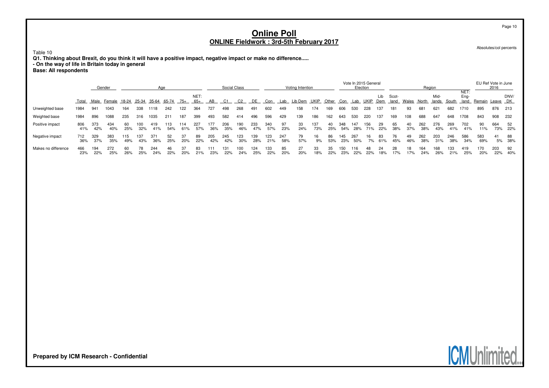Table 10

**Q1. Thinking about Brexit, do you think it will have a positive impact, negative impact or make no difference..... - On the way of life in Britain today in general Base: All respondents**

|                     |            | Gender<br>Age |            |             |            |            |            |            |               |            | Social Class |            |            |            |            | Voting Intention |            |           |            | Election   | Vote In 2015 General |            |               |           | Region     |               |            | NET:         | EU Ref Vote in June | 2016       |              |
|---------------------|------------|---------------|------------|-------------|------------|------------|------------|------------|---------------|------------|--------------|------------|------------|------------|------------|------------------|------------|-----------|------------|------------|----------------------|------------|---------------|-----------|------------|---------------|------------|--------------|---------------------|------------|--------------|
|                     | Total      | Male          | Female     | 18-24 25-34 |            | 35-64      | 65-74      | $/5+$      | NET:<br>$65+$ | AB         | C1           | C2         | DE         | Con        | Lab        | Lib Dem          | UKIP       | Other     | Con        | Lab        |                      | Lib<br>Dem | Scot-<br>land | Wales     | North      | Mid-<br>lands | South      | Eng-<br>land | Remain              | Leave DK   | DNV/         |
| Unweighted base     | 1984       | 941           | 1043       | 164         | 338        | 1118       | 242        | 122        | 364           | 727        | 498          | 268        | 491        | 602        | 449        | 158              | 174        | 169       | 606        | 530        | 228                  | 137        | 181           | 93        | 681        | 621           | 682        | 1710         | 895                 | 876        | 213          |
| Weighted base       | 1984       | 896           | 8801       | 235         | 316        | 1035       | 211        | 187        | 399           | 493        | 582          | 414        | 496        | 596        | 429        | 139              | 186        | 162       | 643        | 530        | 220                  | 137        | 169           | 108       | 688        | 647           | 648        | 1708         | 843                 | 908        | - 232        |
| Positive impact     | 806<br>41% | 373<br>42%    | 434<br>40% | 60<br>25%   | 32%        | 419<br>41% | 113<br>54% | 114<br>61% | 227<br>57%    | 177<br>36% | 206<br>35%   | 190<br>46% | 233<br>47% | 340<br>57% | 97<br>23%  | 33<br>24%        | 137<br>73% | 40<br>25% | 348<br>54% | 147<br>28% | 156<br>71%           | 29<br>22%  | 65<br>38%     | 40<br>37% | 262<br>38% | 276<br>43%    | 269<br>41% | 702<br>41%   | 90<br>11%           | 664<br>73% | 52<br>22%    |
| Negative impact     | 712<br>36% | 329<br>37%    | 383<br>35% | 115<br>49%  | 137<br>43% | 36%        | 52<br>25%  | 37<br>20%  | 89<br>22%     | 205<br>42% | 245<br>42%   | 123<br>30% | 139<br>28% | 123<br>21% | 247<br>58% | 79<br>57%        | 16<br>9%   | 86<br>53% | 145<br>23% | 267<br>50% | 16<br>7%             | 83<br>61%  | 45%           | 49<br>46% | 262<br>38% | 203<br>31%    | 246<br>38% | 586<br>34%   | 583<br>69%          | 41         | 88<br>5% 38% |
| Makes no difference | 466<br>23% | 194<br>22%    | 272<br>25% | 60<br>26%   | 78<br>25%  | 244<br>24% | 46<br>22%  | 37<br>20%  | 83<br>21%     | 23%        | 131<br>22%   | 00<br>24%  | 124<br>25% | 133<br>22% | 85<br>20%  | 27<br>20%        | 33<br>18%  | 35<br>22% | 150<br>23% | 116        | 48                   | 18%        | 17%           | 18<br>17% | 164<br>24% | 168<br>26%    | 133<br>21% | 419<br>25%   | 170<br>20%          | 203<br>22% | 92<br>40%    |

**Prepared by ICM Research - Confidential**

Page 10

Absolutes/col percents

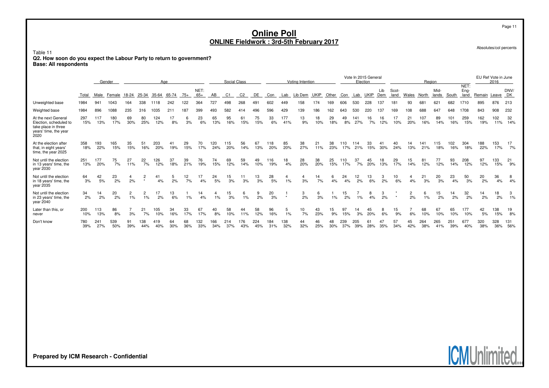Table 11

**Q2. How soon do you expect the Labour Party to return to government? Base: All respondents**

|                                                                                                       |            | Age<br>Gender |            |           |                      |            |           |           |               |            | Social Class |            |            |            |                      | Voting Intention |             |           |            | Election   | Vote In 2015 General |            |               |           | Region     |               |            | NET:         |            | EU Ref Vote in June<br>2016 |            |
|-------------------------------------------------------------------------------------------------------|------------|---------------|------------|-----------|----------------------|------------|-----------|-----------|---------------|------------|--------------|------------|------------|------------|----------------------|------------------|-------------|-----------|------------|------------|----------------------|------------|---------------|-----------|------------|---------------|------------|--------------|------------|-----------------------------|------------|
|                                                                                                       | Total      | Male          | Female     | 18-24     | 25-34 35-64          |            | 65-74     | $75+$     | NET:<br>$65+$ | AB         | C1           | C2         | DE         | Con        | Lab                  | Lib Dem          | <b>UKIP</b> | Other     | Con        | Lab        | <b>UKIP</b>          | Lib<br>Dem | Scot-<br>land | Wales     | North      | Mid-<br>lands | South      | Ena-<br>land | Remain     | Leave                       | DNV/<br>DK |
| Unweighted base                                                                                       | 1984       | 941           | 1043       | 164       | 338                  | 1118       | 242       | 122       | 364           | 727        | 498          | 268        | 491        | 602        | 449                  | 158              | 174         | 169       | 606        | 530        | 228                  | 137        | 181           | 93        | 681        | 621           | 682        | 1710         | 895        | 876                         | 213        |
| Weighted base                                                                                         | 1984       | 896           | 1088       | 235       | 316                  | 1035       | 211       | 187       | 399           | 493        | 582          |            | 496        | 596        | 429                  | 139              | 186         | 162       | 643        | 530        | 220                  | 137        | 169           | 08        | 688        | 647           | 648        | 1708         | 843        | 908                         | 232        |
| At the next General<br>Election, scheduled to<br>take place in three<br>years' time, the year<br>2020 | 297<br>15% | 117<br>13%    | 180<br>17% | 69<br>30% | 80<br>25%            | 124<br>12% | 17<br>8%  | 6<br>3%   | 23<br>6%      | 65<br>13%  | 95<br>16%    | 61<br>15%  | 75<br>15%  | 33<br>6%   | 177<br>41%           | 13<br>9%         | 18<br>10%   | 29<br>18% | 49<br>8%   | 141<br>27% | 16<br>7%             | 16<br>12%  | 10%           | 21<br>20% | 107<br>16% | 89<br>14%     | 101<br>16% | 259<br>15%   | 162<br>19% | 102<br>11%                  | 32<br>14%  |
| At the election after<br>that, in eight years'<br>time, the year 2025                                 | 358<br>18% | 193<br>22%    | 165<br>15% | 35<br>15% | 51<br>16%            | 203<br>20% | 19%       | 29<br>15% | 70<br>17%     | 120<br>24% | 115<br>20%   | 56<br>14%  | 67<br>13%  | 118<br>20% | 85<br>20%            | 38<br>27%        | 21<br>11%   | 38<br>23% | 110<br>17% | 114<br>21% | 33<br>15%            | 30%        | 24%           | 14<br>13% | 141<br>21% | 115<br>18%    | 102<br>16% | 304<br>18%   | 188<br>22% | 153<br>17%                  | 17<br>7%   |
| Not until the election<br>in 13 years' time, the<br>year 2030                                         | 251<br>13% | 177<br>20%    | 75<br>7%   | 27<br>11% | 22<br>7%             | 126<br>12% | 37<br>18% | 39<br>21% | 76<br>19%     | 74<br>15%  | 69<br>12%    | 59<br>14%  | 49<br>10%  | 116<br>19% | 18<br>4%             | 28<br>20%        | 38<br>20%   | 25<br>15% | 110<br>17% | 37<br>7%   | 45<br>20%            | 18<br>13%  | 29<br>17%     | 15<br>14% | 81<br>12%  | 77<br>12%     | 93<br>14%  | 208<br>12%   | 97<br>12%  | 133<br>15%                  | 21<br>9%   |
| Not until the election<br>in 18 years' time, the<br>vear 2035                                         | 64<br>3%   | 42<br>5%      | 23<br>2%   | 4<br>2%   | 2<br>$\star$         | 41<br>4%   | 5<br>2%   | 12<br>7%  | 17<br>4%      | 24<br>5%   | 15<br>3%     | 11<br>3%   | 13<br>3%   | 28<br>5%   | 4<br>$1\%$           | 3%               | 14<br>7%    | 6<br>4%   | 24<br>4%   | 12<br>2%   | 13<br>6%             | 3<br>2%    | 10<br>6%      | 4%        | 21<br>3%   | 20<br>3%      | 23<br>4%   | 50<br>3%     | 20<br>2%   | 36<br>4%                    | 8<br>4%    |
| Not until the election<br>in 23 years' time, the<br>year 2040                                         | 34<br>2%   | 14<br>2%      | 20<br>2%   | 2<br>1%   | $\overline{2}$<br>1% | 17<br>2%   | 13<br>6%  | $1\%$     | 14<br>4%      | 1%         | 15<br>3%     | 6<br>1%    | 9<br>2%    | 20<br>3%   | $\ddot{\phantom{1}}$ | 3<br>2%          | 6<br>3%     | 1%        | 15<br>2%   | 1%         | 8<br>4%              | 3<br>2%    |               | 2<br>2%   | 6<br>1%    | 15<br>2%      | 14<br>2%   | 32<br>2%     | 14<br>2%   | 18<br>2%                    | 3<br>1%    |
| Later than this, or<br>never                                                                          | 200<br>10% | 113<br>13%    | 86<br>8%   | 3%        | 21<br>7%             | 105<br>10% | 34<br>16% | 33<br>17% | 67<br>17%     | 40<br>8%   | 58<br>10%    | 44<br>11%  | 58<br>12%  | 96<br>16%  | 5<br>1%              | 10<br>7%         | 43<br>23%   | 15<br>9%  | 97<br>15%  | 14<br>3%   | 45<br>20%            | 8<br>6%    | 15<br>9%      | 6%        | 68<br>10%  | 67<br>10%     | 65<br>10%  | 177<br>10%   | 42<br>5%   | 138<br>15%                  | 19<br>8%   |
| Don't know                                                                                            | 780<br>39% | 241<br>27%    | 539<br>50% | 91<br>39% | 138<br>44%           | 419<br>40% | 64<br>30% | 68<br>36% | 132<br>33%    | 166<br>34% | 214<br>37%   | 176<br>43% | 224<br>45% | 184<br>31% | 138<br>32%           | 44<br>32%        | 46<br>25%   | 48<br>30% | 239<br>37% | 205<br>39% | 61<br>28%            | 47<br>35%  | 57<br>34%     | 45<br>42% | 264<br>38% | 265<br>41%    | 251<br>39% | 677<br>40%   | 320<br>38% | 328<br>36%                  | 131<br>56% |

Absolutes/col percents

**ICMUnlimited.**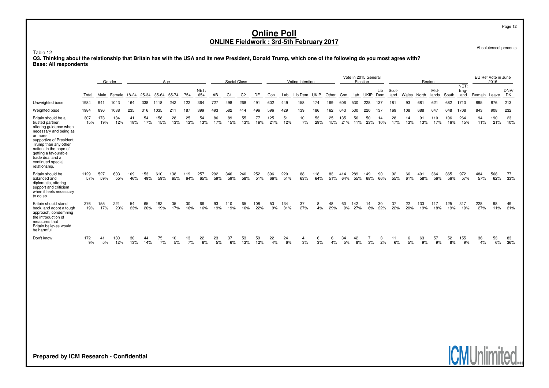Absolutes/col percents

Page 12

#### Table 12

**Q3. Thinking about the relationship that Britain has with the USA and its new President, Donald Trump, which one of the following do you most agree with? Base: All respondents**

|                                                                                                                                                                                                                                                                       | Aae<br>Gender |            |            |            |            |            |            |            |               |            | Social Class   |                |            |            |            | Voting Intention |             |           |            | Vote In 2015 General<br>Election |            |            |               |           | Region     |               |            |                      |            | EU Ref Vote in June<br>2016 |            |
|-----------------------------------------------------------------------------------------------------------------------------------------------------------------------------------------------------------------------------------------------------------------------|---------------|------------|------------|------------|------------|------------|------------|------------|---------------|------------|----------------|----------------|------------|------------|------------|------------------|-------------|-----------|------------|----------------------------------|------------|------------|---------------|-----------|------------|---------------|------------|----------------------|------------|-----------------------------|------------|
|                                                                                                                                                                                                                                                                       | Total         | Male       | Female     | 18-24      | 25-34      | 35-64      | 65-74      | $75+$      | NET:<br>$65+$ | AB         | C <sub>1</sub> | C <sub>2</sub> | DE.        | Con        | Lab        | Lib Dem          | <b>UKIP</b> | Other     | Con        | Lab                              | UKIP       | Lib<br>Dem | Scot-<br>land | Wales     | North      | Mid-<br>lands | South      | NET:<br>Eng-<br>land | Remain     | Leave                       | DNV/<br>DK |
| Unweighted base                                                                                                                                                                                                                                                       | 1984          | 941        | 1043       | 164        | 338        | 1118       | 242        | 122        | 364           | 727        | 498            | 268            | 491        | 602        | 449        | 158              | 174         | 169       | 606        | 530                              | 228        | 137        | 181           | 93        | 681        | 621           | 682        | 1710                 | 895        | 876                         | 213        |
| Weighted base                                                                                                                                                                                                                                                         | 1984          | 896        | 1088       | 235        | 316        | 1035       | 211        | 187        | 399           | 493        | 582            | 414            | 496        | 596        | 429        | 139              | 186         | 162       | 643        | 530                              | 220        | 137        | 169           | 108       | 688        | 647           | 648        | 1708                 | 843        | 908                         | 232        |
| Britain should be a<br>trusted partner.<br>offering guidance when<br>necessary and being as<br>or more<br>supportive of President<br>Trump than any other<br>nation, in the hope of<br>getting a favourable<br>trade deal and a<br>continued special<br>relationship. | 307<br>15%    | 173<br>19% | 134<br>12% | 41<br>18%  | 54<br>17%  | 158<br>15% | 28<br>13%  | 25<br>13%  | 54<br>13%     | 86<br>17%  | 89<br>15%      | 55<br>13%      | 77<br>16%  | 125<br>21% | 51<br>12%  | 10<br>7%         | 53<br>29%   | 25<br>15% | 135<br>21% | 56<br>11%                        | 50<br>23%  | 14<br>10%  | 28<br>17%     | 14<br>13% | 91<br>13%  | 110<br>17%    | 106<br>16% | 264<br>15%           | 94<br>11%  | 190<br>21%                  | 23<br>10%  |
| Britain should be<br>balanced and<br>diplomatic, offering<br>support and criticism<br>when it feels necessary<br>to do so.                                                                                                                                            | 1129<br>57%   | 527<br>59% | 603<br>55% | 109<br>46% | 153<br>49% | 610<br>59% | 138<br>65% | 119<br>64% | 257<br>65%    | 292<br>59% | 346<br>59%     | 240<br>58%     | 252<br>51% | 396<br>66% | 220<br>51% | 88<br>63%        | 118<br>64%  | 83<br>51% | 414<br>64% | 289<br>55%                       | 149<br>68% | 90<br>66%  | 92<br>55%     | 66<br>61% | 401<br>58% | 364<br>56%    | 365<br>56% | 972<br>57%           | 484<br>57% | 568<br>62%                  | 77<br>33%  |
| Britain should stand<br>back, and adopt a tough<br>approach, condemning<br>the introduction of<br>measures that<br>Britain believes would<br>be harmful.                                                                                                              | 376<br>19%    | 155<br>17% | 221<br>20% | 54<br>23%  | 65<br>20%  | 192<br>19% | 35<br>17%  | 30<br>16%  | 66<br>16%     | 93<br>19%  | 110<br>19%     | 65<br>16%      | 108<br>22% | 53<br>9%   | 134<br>31% | 37<br>27%        | 8<br>4%     | 48<br>29% | 60<br>9%   | 142<br>27%                       | 14<br>6%   | 30<br>22%  | 37<br>22%     | 22<br>20% | 133<br>19% | 117<br>18%    | 125<br>19% | 317<br>19%           | 228<br>27% | 98<br>11%                   | 49<br>21%  |
| Don't know                                                                                                                                                                                                                                                            | 172<br>9%     | 41<br>5%   | 130<br>12% | 30<br>13%  | 44<br>14%  | 75<br>7%   | 10<br>5%   | 13<br>7%   | 22<br>6%      | 23<br>5%   | 37<br>6%       | 53<br>13%      | 59<br>12%  | 22<br>4%   | 24<br>6%   | 3%               | 6<br>3%     | 4%        | 34<br>5%   | 42<br>8%                         | 3%         | 3<br>2%    | 6%            | 6<br>5%   | 63<br>9%   | 57<br>9%      | 52<br>8%   | 155<br>9%            | 36<br>4%   | 53<br>6%                    | 83<br>36%  |



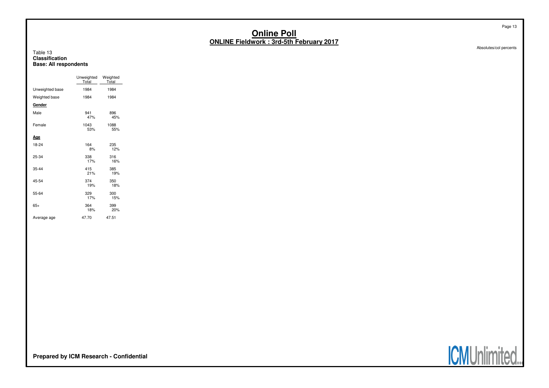Absolutes/col percents

Page 13

#### Table 13 **ClassificationBase: All respondents**

|                 | Unweighted<br>Total | Weighted<br>Total |
|-----------------|---------------------|-------------------|
| Unweighted base | 1984                | 1984              |
| Weighted base   | 1984                | 1984              |
| Gender          |                     |                   |
| Male            | 941<br>47%          | 896<br>45%        |
| Female          | 1043<br>53%         | 1088<br>55%       |
| Age             |                     |                   |
| 18-24           | 164<br>8%           | 235<br>12%        |
| 25-34           | 338<br>17%          | 316<br>16%        |
| 35-44           | 415<br>21%          | 385<br>19%        |
| 45-54           | 374<br>19%          | 350<br>18%        |
| 55-64           | 329<br>17%          | 300<br>15%        |
| $65+$           | 364<br>18%          | 399<br>20%        |
| Average age     | 47.70               | 47.51             |



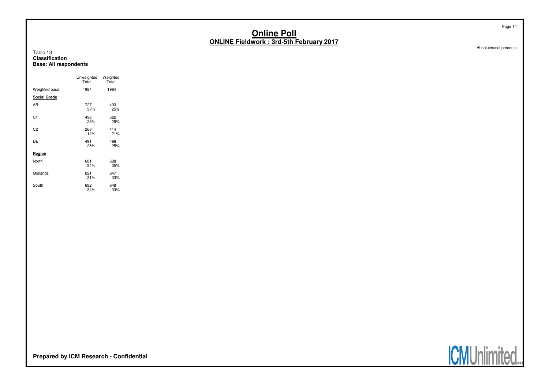Absolutes/col percents

Page 14

#### Table 13 **ClassificationBase: All respondents**

|                     | Unweighted<br>Total | Weighted<br>Total |
|---------------------|---------------------|-------------------|
| Weighted base       | 1984                | 1984              |
| <b>Social Grade</b> |                     |                   |
| AB                  | 727<br>37%          | 493<br>25%        |
| C <sub>1</sub>      | 498<br>25%          | 582<br>29%        |
| C <sub>2</sub>      | 268<br>14%          | 414<br>21%        |
| DE                  | 491<br>25%          | 496<br>25%        |
| Region              |                     |                   |
| North               | 681<br>34%          | 688<br>35%        |
| Midlands            | 621<br>31%          | 647<br>33%        |
| South               | 682<br>34%          | 648<br>33%        |



**Prepared by ICM Research - Confidential**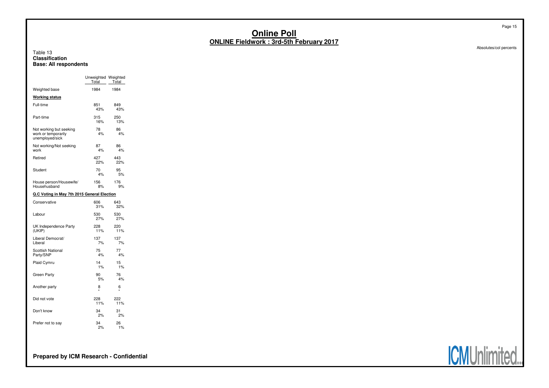#### Table 13 **ClassificationBase: All respondents**

|                                                                   | Unweighted Weighted<br>Total | Total      |  |  |
|-------------------------------------------------------------------|------------------------------|------------|--|--|
| Weighted base                                                     | 1984                         | 1984       |  |  |
| <b>Working status</b>                                             |                              |            |  |  |
| Full-time                                                         | 851<br>43%                   | 849<br>43% |  |  |
| Part-time                                                         | 315<br>16%                   | 250<br>13% |  |  |
| Not working but seeking<br>work or temporarily<br>unemployed/sick | 78<br>4%                     | 86<br>4%   |  |  |
| Not working/Not seeking<br>work                                   | 87<br>4%                     | 86<br>4%   |  |  |
| Retired                                                           | 427<br>22%                   | 443<br>22% |  |  |
| Student                                                           | 70<br>4%                     | 95<br>5%   |  |  |
| House person/Housewife/<br>Househusband                           | 156<br>8%                    | 176<br>9%  |  |  |
| Q.C Voting in May 7th 2015 General Election                       |                              |            |  |  |
| Conservative                                                      | 606<br>31%                   | 643<br>32% |  |  |
| Labour                                                            | 530<br>27%                   | 530<br>27% |  |  |
| UK Independence Party<br>(UKIP)                                   | 228<br>11%                   | 220<br>11% |  |  |
| Liberal Democrat/<br>Liberal                                      | 137<br>7%                    | 137<br>7%  |  |  |
| <b>Scottish National</b><br>Party/SNP                             | 75<br>4%                     | 77<br>4%   |  |  |
| Plaid Cymru                                                       | 14<br>1%                     | 15<br>1%   |  |  |
| Green Party                                                       | 90<br>5%                     | 76<br>4%   |  |  |
| Another party                                                     | 8<br>٠                       | 6<br>٠     |  |  |
| Did not vote                                                      | 228<br>11%                   | 222<br>11% |  |  |
| Don't know                                                        | 34<br>2%                     | 31<br>2%   |  |  |
| Prefer not to say                                                 | 34<br>2%                     | 26<br>1%   |  |  |

Absolutes/col percents